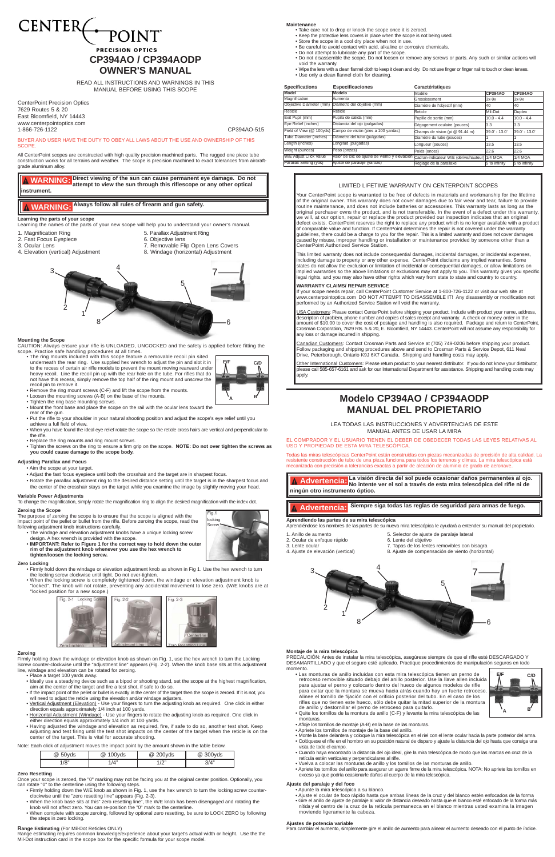





### **Mounting the Scope**

CAUTION: Always ensure your rifle is UNLOADED, UNCOCKED and the safety is applied before fitting the scope. Practice safe handling procedures at all times.

• The ring mounts included with this scope feature a removable recoil pin sited underneath the rear ring. Use supplied hex wrench to adjust the pin and slot it in to the recess of certain air rifle models to prevent the mount moving rearward under heavy recoil. Line the recoil pin up with the rear hole on the tube. For rifles that do not have this recess, simply remove the top half of the ring mount and unscrew the recoil pin to remove it.

- Remove the ring mount screws (C-F) and lift the scope from the mounts.
- Loosen the mounting screws (A-B) on the base of the mounts.
- Tighten the ring base mounting screws.
- Mount the front base and place the scope on the rail with the ocular lens toward the
- rear of the gun. • Put the rifle to your shoulder in your natural shooting position and adjust the scope's eye relief until you
- achieve a full field of view.
- When you have found the ideal eye relief rotate the scope so the reticle cross hairs are vertical and perpendicular to the rifle.
- Replace the ring mounts and ring mount screws.
- Tighten the screws on the ring to ensure a firm grip on the scope. **NOTE: Do not over tighten the screws as you could cause damage to the scope body.**

- Aim the scope at your target.
- Adjust the fast focus eyepiece until both the crosshair and the target are in sharpest focus.
- Rotate the parallax adjustment ring to the desired distance setting until the target is in the sharpest focus and the center of the crosshair stays on the target while you examine the image by slightly moving your head.

# **CENTER POINT PRECISION OPTICS CP394AO / CP394AODP OWNER'S MANUAL**

## **Adjusting Parallax and Focus**

### **Variable Power Adjustments**

To change the magnification, simply rotate the magnification ring to align the desired magnification with the index dot.

CenterPoint Precision Optics 7629 Routes 5 & 20 East Bloomfield, NY 14443 www.centerpointoptics.com 1-866-726-1122 CP394AO-515

READ ALL INSTRUCTIONS AND WARNINGS IN THIS MANUAL BEFORE USING THIS SCOPE

#### **Maintenance**

- Take care not to drop or knock the scope once it is zeroed.
- Keep the protective lens covers in place when the scope is not being used. • Store the scope in a cool dry place when not in use.
- Be careful to avoid contact with acid, alkaline or corrosive chemicals.
- Do not attempt to lubricate any part of the scope.
- Do not disassemble the scope. Do not loosen or remove any screws or parts. Any such or similar actions will void the warranty.
- Wipe the lens with a clean flannel cloth to keep it clean and dry. Do not use finger or finger nail to touch or clean lenses. • Use only a clean flannel cloth for cleaning.

<u>USA Customers</u>: Please contact CenterPoint before shipping your product. Include with product your name, address,<br>description of problem, phone number and copies of sales receipt and warranty. A check or money order in th amount of \$10.00 to cover the cost of postage and handling is also required. Package and return to CenterPoint, Crosman Corporation, 7629 Rts. 5 & 20, E. Bloomfield, NY 14443. CenterPoint will not assume any responsibility for any loss or damage incurred in shipping.

<u>Canadian Customers</u>: Contact Crosman Parts and Service at (705) 749-0206 before shipping your product.<br>Follow packaging and shipping procedures above and send to Crosman Parts & Service Depot, 611 Neal Drive, Peterborough, Ontario K9J 6X7 Canada. Shipping and handling costs may apply.

### LIMITED LIFETIME WARRANTY ON CENTERPOINT SCOPES

BUYER AND USER HAVE THE DUTY TO OBEY ALL LAWS ABOUT THE USE AND OWNERSHIP OF THIS **SCOPE** 

> Your CenterPoint scope is warranted to be free of defects in materials and workmanship for the lifetime of the original owner. This warranty does not cover damages due to fair wear and tear, failure to provide routine maintenance, and does not include batteries or accessories. This warranty lasts as long as the original purchaser owns the product, and is not transferable. In the event of a defect under this warranty, we will, at our option, repair or replace the product provided our inspection indicates that an original defect exists. CenterPoint reserves the right to replace any product which is no longer available with a product of comparable value and function. If CenterPoint determines the repair is not covered under the warranty guidelines, there could be a charge to you for the repair. This is a limited warranty and does not cover damages caused by misuse, improper handling or installation or maintenance provided by someone other than a CenterPoint Authorized Service Station.

> This limited warranty does not include consequential damages, incidental damages, or incidental expenses, including damage to property or any other expense. CenterPoint disclaims any implied warranties. Some states do not allow the exclusion or limitation of incidental or consequential damages, or allow limitations on implied warranties so the above limitations or exclusions may not apply to you. This warranty gives you specific legal rights, and you may also have other rights which vary from state to state and country to country.

### **WARRANTY CLAIMS/ REPAIR SERVICE**

If your scope needs repair, call CenterPoint Customer Service at 1-800-726-1122 or visit our web site at www.centerpointoptics.com DO NOT ATTEMPT TO DISASSEMBLE IT! Any disassembly or modification not performed by an Authorized Service Station will void the warranty.

Other International Customers: Please return product to your nearest distributor. If you do not know your distributor, please call 585-657-6161 and ask for our International Department for assistance. Shipping and handling costs may apply.

### **Zeroing the Scope**

The purpose of zeroing the scope is to ensure that the scope is aligned with the impact point of the pellet or bullet from the rifle. Before zeroing the scope, read the following adjustment knob instructions carefully.

- The windage and elevation adjustment knobs have a unique locking screw design. A hex wrench is provided with the scope.
- **IMPORTANT: Refer to Figure 1 for the correct way to hold down the outer rim of the adjustment knob whenever you use the hex wrench to tighten/loosen the locking screw.**

### **Zero Locking**

- Firmly hold down the windage or elevation adjustment knob as shown in Fig 1. Use the hex wrench to turn the locking screw clockwise until tight. Do not over-tighten.
- When the locking screw is completely tightened down, the windage or elevation adjustment knob is "locked". The knob will not rotate, preventing any accidental movement to lose zero. (W/E knobs are at "locked position for a new scope.)
	-



ncking Screw

ig.1



### **Range Estimating** (For Mil-Dot Reticles ONLY)

Range estimating requires common knowledge/experience about your target's actual width or height. Use the the Mil-Dot instruction card in the scope box for the specific formula for your scope model.

All CenterPoint scopes are constructed with high quality precision machined parts. The rugged one piece tube construction works for all terrains and weather. The scope is precision machined to exact tolerances from aircraftgrade aluminum alloy.

## **Learning the parts of your scope**

Learning the names of the parts of your new scope will help you to understand your owner's manual.

- 
- 1. Magnification Ring 6. Parallax Adjustment Ring<br>2. Fast Focus Eyepiece 6. Objective lens
- 2. Fast Focus Eyepiece<br>3. Ocular Lens
- 
- 3. Ocular Lens 7. Removable Flip Open Lens Covers<br>
4. Elevation (vertical) Adjustment<br>
2. Windage (horizontal) Adjustment<br>
3. Windage (horizontal) Adjustment 8. Windage (horizontal) Adjustment

**Direct viewing of the sun can cause permanent eye damage. Do not WARNING: attempt to view the sun through this riflescope or any other optical instrument.**

**WARNING: Always follow all rules of firearm and gun safety.**

### **Zeroing**

Firmly holding down the windage or elevation knob as shown on Fig. 1, use the hex wrench to turn the Locking Screw counter-clockwise until the "adjustment line" appears (Fig. 2-2). When the knob base sits at this adjustment line, windage and elevation can be rotated for zeroing.

- Place a target 100 yards away.
- Ideally use a steadying device such as a bipod or shooting stand, set the scope at the highest magnification, aim at the center of the target and fire a test shot, if safe to do so.
- If the impact point of the pellet or bullet is exactly in the center of the target then the scope is zeroed. If it is not, you
- will need to adjust the reticle using the elevation and/or windage adjusters.<br>• Vertical Adjustment (Elevation) Use your fingers to turn the adjusting knob as required. One click in either direction equals approximately 1/4 inch at 100 yards.
- Horizontal Adjustment (Windage) Use your fingers to rotate the adjusting knob as required. One click in either direction equals approximately 1/4 inch at 100 yards.
- Having adjusted the windage and elevation as required, fire, if safe to do so, another test shot. Keep adjusting and test firing until the test shot impacts on the center of the target when the reticle is on the center of the target. This is vital for accurate shooting.

Note: Each click of adjustment moves the impact point by the amount shown in the table below.

### **Zero Resetting**

Once your scope is zeroed, the "0" marking may not be facing you at the original center position. Optionally, you can rotate "0" to the centerline using the following steps.

- Firmly holding down the W/E knob as shown in Fig. 1, use the hex wrench to turn the locking screw counterclockwise until the "zero resetting line" appears (Fig. 2-3).
- When the knob base sits at this" zero resetting line", the W/E knob has been disengaged and rotating the knob will not affect zero. You can re-position the "0" mark to the centerline.
- When complete with scope zeroing, followed by optional zero resetting, be sure to LOCK ZERO by following the steps in zero locking.

| $@$ 50yds | @ 100yds | @ 200yds | @ 300yds |
|-----------|----------|----------|----------|
| 1/8"      | 1/4"     | 1/2"     | 3/4"     |

EL COMPRADOR Y EL USUARIO TIENEN EL DEBER DE OBEDECER TODAS LAS LEYES RELATIVAS AL USO Y PROPIEDAD DE ESTA MIRA TELESCÓPICA.

Todas las miras telescópicas CenterPoint están construidas con piezas mecanizadas de precisión de alta calidad. La resistente construcción de tubo de una pieza funciona para todos los terrenos y climas. La mira telescópica está mecanizada con precisión a tolerancias exactas a partir de aleación de aluminio de grado de aeronave.

## **Aprendiendo las partes de su mira telescópica**

Aprendiéndose los nombres de las partes de su nueva mira telescópica le ayudará a entender su manual del propietario.

- 1. Anillo de aumento<br>
2. Ocular de enfoque rápido<br>
6. Lente del objetivo
- 2. Ocular de enfoque rápido
- 
- 
- 3. Lente ocular 7. Tapas de los lentes removibles con bisagra<br>4. Aiuste de elevación (vertical) 8. Aiuste de compensación de viento (horizont 8. Ajuste de compensación de viento (horizontal)

# **Modelo CP394AO / CP394AODP MANUAL DEL PROPIETARIO**

LEA TODAS LAS INSTRUCCIONES Y ADVERTENCIAS DE ESTE MANUAL ANTES DE USAR LA MIRA

**La visión directa del sol puede ocasionar daños permanentes al ojo.** Advertencia: La vision directa del sol puede ocasionar danos permanentes al ojc<br>Advertencia: No intente ver el sol a través de esta mira telescópica del rifle ni de **ningún otro instrumento óptico.** 

# **Advertencia: Siempre siga todas las reglas de seguridad para armas de fuego.**

### **Montaje de la mira telescópica**

PRECAUCIÓN: Antes de instalar la mira telescópica, asegúrese siempre de que el rifle esté DESCARGADO Y DESAMARTILLADO y que el seguro esté aplicado. Practique procedimientos de manipulación seguros en todo momento.

• Las monturas de anillo incluidas con esta mira telescópica tienen un perno de retroceso removible situado debajo del anillo posterior. Use la llave allen incluida para ajustar el perno y colocarlo dentro del hueco de algunos modelos de rifle para evitar que la montura se mueva hacia atrás cuando hay un fuerte retroceso Alinee el tornillo de fijación con el orificio posterior del tubo. En el caso de los rifles que no tienen este hueco, sólo debe quitar la mitad superior de la montura de anillo y destornillar el perno de retroceso para quitarlo.

- Quite los tornillos de la montura de anillo (C-F) y levante la mira telescópica de las monturas.
- Afloje los tornillos de montaje (A-B) en la base de las monturas.
- Apriete los tornillos de montaje de la base del anillo.
- Monte la base delantera y coloque la mira telescópica en el riel con el lente ocular hacia la parte posterior del arma.
- Colóquese el rifle en el hombro en su posición natural de disparo y ajuste la distancia del ojo hasta que consiga una vista de todo el campo.
- Cuando haya encontrado la distancia del ojo ideal, gire la mira telescópica de modo que las marcas en cruz de la retícula estén verticales y perpendiculares al rifle.
- Vuelva a colocar las monturas de anillo y los tornillos de las monturas de anillo.
- Apriete los tornillos del anillo para asegurar un agarre firme de la mira telescópica. NOTA: No apriete los tornillos en exceso ya que podría ocasionarle daños al cuerpo de la mira telescópica.

### **Ajuste del paralaje y del foco**

- Apunte la mira telescópica a su blanco.
- Ajuste el ocular de foco rápido hasta que ambas líneas de la cruz y del blanco estén enfocados de la forma
- Gire el anillo de ajuste de paralaje al valor de distancia deseado hasta que el blanco esté enfocado de la forma más nítida y el centro de la cruz de la retícula permanezca en el blanco mientras usted examina la imagen moviendo ligeramente la cabeza.

### **Ajustes de potencia variable**

Para cambiar el aumento, simplemente gire el anillo de aumento para alinear el aumento deseado con el punto de índice.





| <b>Specifications</b>         | <b>Especificaciones</b>                                                                      | Caractéristiques                |                 |                |
|-------------------------------|----------------------------------------------------------------------------------------------|---------------------------------|-----------------|----------------|
| Model                         | Modelo                                                                                       | Modèle                          | <b>CP394AO</b>  | <b>CP394AO</b> |
| Magnification                 | Aumento                                                                                      | Grossissement                   | $3x-9x$         | $3x-9x$        |
|                               | Objective Diameter (mm) Diámetro del objetivo (mm)                                           | Diamètre de l'objectif (mm)     | 40              | 40             |
| Reticle                       | Reticle                                                                                      | Reticle                         | Mil-Dot         | Duplex         |
| Exit Pupil (mm)               | Pupila de salida (mm)                                                                        | Pupille de sortie (mm)          | $10.0 - 4.4$    | $10.0 - 4.4$   |
| Eye Relief (inches)           | Distancia del ojo (pulgadas)                                                                 | Dégagement oculaire (pouces)    | 3.3             | 3.3            |
| Field of View (@ 100yds)      | Campo de visión (pies a 100 yardas)                                                          | Champs de vision (pi @ 91.44 m) | $39.0' - 13.0'$ | 39.0' - 13.0'  |
| Tube Diameter (inches)        | Diámetro del tubo (pulgadas)                                                                 | Diamètre du tube (pouces)       |                 |                |
| Length (inches)               | Longitud (pulgadas)                                                                          | Lonqueur (pouces)               | 13.5            | 13.5           |
| Weight (ounces)               | Peso (onzas)                                                                                 | Poids (onces)                   | 22.6            | 22.6           |
| <b>W/E Adjust Click Value</b> | Valor de clic de ajuste de viento y elevación Cadran-indicateur W/E (dérive/hauteur) 1/4 MOA |                                 |                 | 1/4 MOA        |
| Parallax Setting (yds)        | Ajuste de paralaje (vardas)                                                                  | Réglage de la parallaxe         | 5 to infinity   | 5 to infinity  |